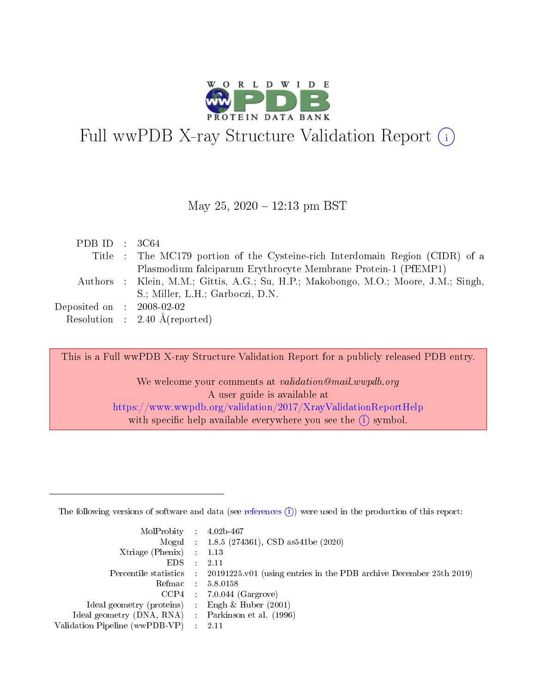

# Full wwPDB X-ray Structure Validation Report  $(i)$

#### May 25,  $2020 - 12:13$  pm BST

| PDB ID : $3C64$             |                                                                                     |
|-----------------------------|-------------------------------------------------------------------------------------|
|                             | Title : The MC179 portion of the Cysteine-rich Interdomain Region (CIDR) of a       |
|                             | Plasmodium falciparum Erythrocyte Membrane Protein-1 (PfEMP1)                       |
|                             | Authors : Klein, M.M.; Gittis, A.G.; Su, H.P.; Makobongo, M.O.; Moore, J.M.; Singh, |
|                             | S.; Miller, L.H.; Garboczi, D.N.                                                    |
| Deposited on : $2008-02-02$ |                                                                                     |
|                             | Resolution : $2.40 \text{ Å}$ (reported)                                            |

This is a Full wwPDB X-ray Structure Validation Report for a publicly released PDB entry. We welcome your comments at validation@mail.wwpdb.org

> A user guide is available at <https://www.wwpdb.org/validation/2017/XrayValidationReportHelp> with specific help available everywhere you see the  $(i)$  symbol.

The following versions of software and data (see [references](https://www.wwpdb.org/validation/2017/XrayValidationReportHelp#references)  $(1)$ ) were used in the production of this report:

| MolProbity : $4.02b-467$                            |                                                                                            |
|-----------------------------------------------------|--------------------------------------------------------------------------------------------|
|                                                     | Mogul : $1.8.5$ (274361), CSD as 541be (2020)                                              |
| $Xtriangle (Phenix)$ : 1.13                         |                                                                                            |
| $EDS$ :                                             | -2.11                                                                                      |
|                                                     | Percentile statistics : 20191225.v01 (using entries in the PDB archive December 25th 2019) |
| Refmac : 5.8.0158                                   |                                                                                            |
|                                                     | $CCP4$ 7.0.044 (Gargrove)                                                                  |
| Ideal geometry (proteins) : Engh $\&$ Huber (2001)  |                                                                                            |
| Ideal geometry (DNA, RNA) : Parkinson et al. (1996) |                                                                                            |
| Validation Pipeline (wwPDB-VP) : 2.11               |                                                                                            |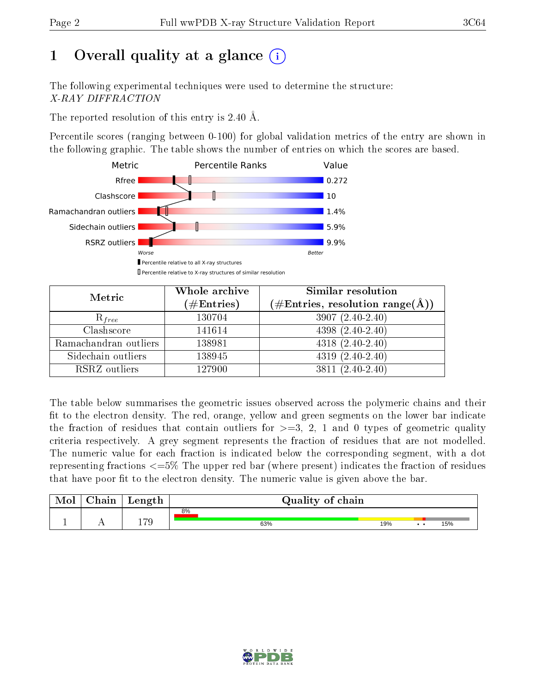# 1 [O](https://www.wwpdb.org/validation/2017/XrayValidationReportHelp#overall_quality)verall quality at a glance  $(i)$

The following experimental techniques were used to determine the structure: X-RAY DIFFRACTION

The reported resolution of this entry is 2.40 Å.

Percentile scores (ranging between 0-100) for global validation metrics of the entry are shown in the following graphic. The table shows the number of entries on which the scores are based.



| Metric                | Whole archive<br>$(\#\text{Entries})$ | Similar resolution<br>$(\#\text{Entries},\,\text{resolution}\,\,\text{range}(\textup{\AA}))$ |
|-----------------------|---------------------------------------|----------------------------------------------------------------------------------------------|
| $R_{free}$            | 130704                                | $3907(2.40-2.40)$                                                                            |
| Clashscore            | 141614                                | $4398(2.40-2.40)$                                                                            |
| Ramachandran outliers | 138981                                | $4318(2.40-2.40)$                                                                            |
| Sidechain outliers    | 138945                                | $4319(2.40-2.40)$                                                                            |
| RSRZ outliers         | 127900                                | $3811 (2.40 - 2.40)$                                                                         |

The table below summarises the geometric issues observed across the polymeric chains and their fit to the electron density. The red, orange, yellow and green segments on the lower bar indicate the fraction of residues that contain outliers for  $>=3, 2, 1$  and 0 types of geometric quality criteria respectively. A grey segment represents the fraction of residues that are not modelled. The numeric value for each fraction is indicated below the corresponding segment, with a dot representing fractions <=5% The upper red bar (where present) indicates the fraction of residues that have poor fit to the electron density. The numeric value is given above the bar.

| Mol | $\cap$ hain | Length         | Quality of chain |     |     |     |  |  |
|-----|-------------|----------------|------------------|-----|-----|-----|--|--|
| л.  | . .         | $\overline{2}$ | 8%<br>63%        | 19% | . . | 15% |  |  |

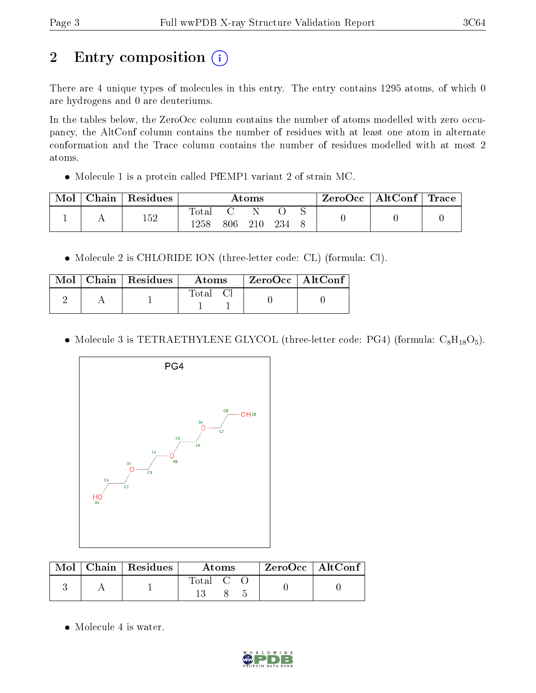# 2 Entry composition (i)

There are 4 unique types of molecules in this entry. The entry contains 1295 atoms, of which 0 are hydrogens and 0 are deuteriums.

In the tables below, the ZeroOcc column contains the number of atoms modelled with zero occupancy, the AltConf column contains the number of residues with at least one atom in alternate conformation and the Trace column contains the number of residues modelled with at most 2 atoms.

Molecule 1 is a protein called PfEMP1 variant 2 of strain MC.

| Mol | Chain | $\perp$ Residues | $\rm{Atoms}$         |     |  | $\text{ZeroOcc} \mid \text{AltConf} \mid \text{Trace}$ |  |  |  |
|-----|-------|------------------|----------------------|-----|--|--------------------------------------------------------|--|--|--|
|     |       | 152              | $\rm{Total}$<br>1258 | 806 |  | 234                                                    |  |  |  |

Molecule 2 is CHLORIDE ION (three-letter code: CL) (formula: Cl).

| Mol - | $\sqrt{\frac{1}{1}}$ Chain   Residues <sup>1</sup> | Atoms   | $\mathsf{ZeroOcc} \mid \mathsf{AltConf} \mid$ |  |
|-------|----------------------------------------------------|---------|-----------------------------------------------|--|
|       |                                                    | fotal ' |                                               |  |

• Molecule 3 is TETRAETHYLENE GLYCOL (three-letter code: PG4) (formula:  $C_8H_{18}O_5$ ).



| Mol | Chain   Residues ' | Atoms                                                   |  |  | $ZeroOcc \mid AltConf$ |  |
|-----|--------------------|---------------------------------------------------------|--|--|------------------------|--|
|     |                    | $\begin{bmatrix} \text{Total} & \text{C} \end{bmatrix}$ |  |  |                        |  |

• Molecule 4 is water.

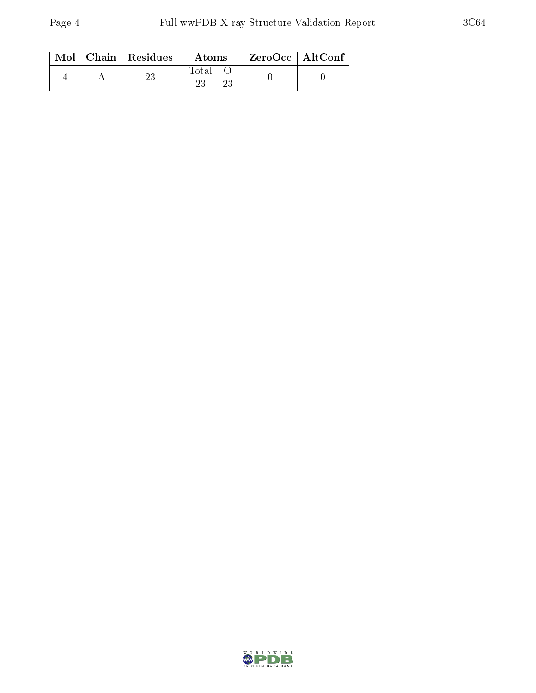|  | $Mol$   Chain   Residues | Atoms | $ZeroOcc \mid AltConf \mid$ |  |
|--|--------------------------|-------|-----------------------------|--|
|  |                          | Total |                             |  |

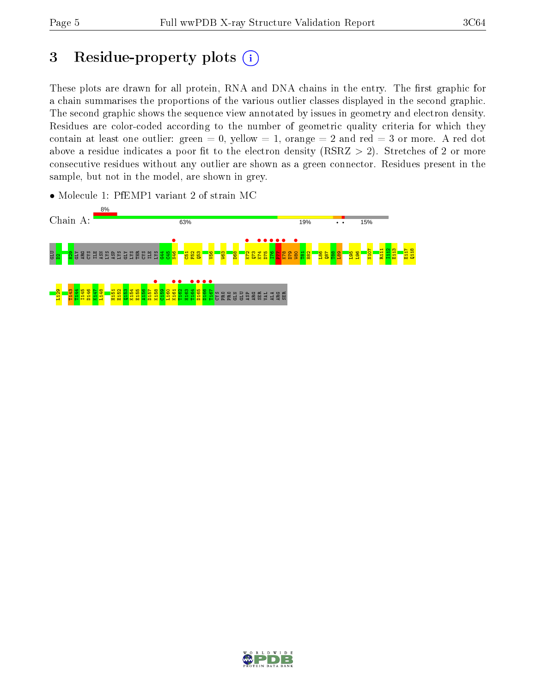# 3 Residue-property plots  $(i)$

These plots are drawn for all protein, RNA and DNA chains in the entry. The first graphic for a chain summarises the proportions of the various outlier classes displayed in the second graphic. The second graphic shows the sequence view annotated by issues in geometry and electron density. Residues are color-coded according to the number of geometric quality criteria for which they contain at least one outlier: green  $= 0$ , yellow  $= 1$ , orange  $= 2$  and red  $= 3$  or more. A red dot above a residue indicates a poor fit to the electron density (RSRZ  $> 2$ ). Stretches of 2 or more consecutive residues without any outlier are shown as a green connector. Residues present in the sample, but not in the model, are shown in grey.

• Molecule 1: PfEMP1 variant 2 of strain MC



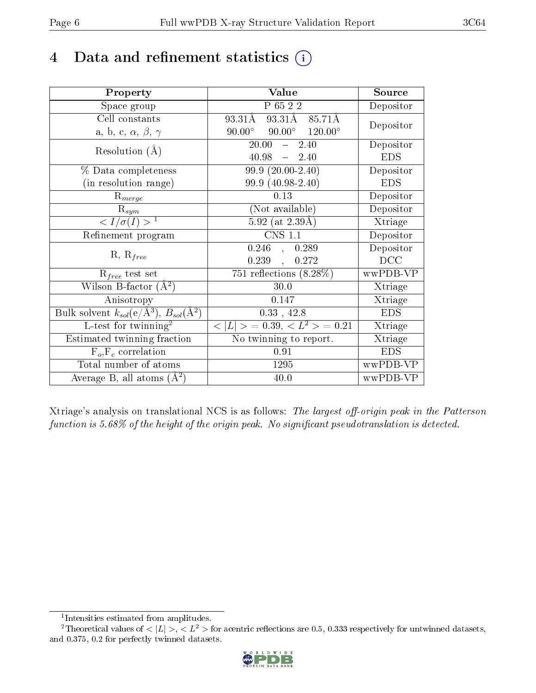## 4 Data and refinement statistics  $(i)$

| Property                                                                | Value                                                    | Source     |
|-------------------------------------------------------------------------|----------------------------------------------------------|------------|
| Space group                                                             | $\overline{P_6522}$                                      | Depositor  |
| Cell constants                                                          | $93.31\text{\AA}$ $85.71\text{\AA}$<br>$93.31\text{\AA}$ | Depositor  |
| a, b, c, $\alpha$ , $\beta$ , $\gamma$                                  | $90.00^{\circ}$ $90.00^{\circ}$ $120.00^{\circ}$         |            |
| Resolution $(A)$                                                        | 20.00<br>$-2.40$                                         | Depositor  |
|                                                                         | $40.98 = 2.40$                                           | <b>EDS</b> |
| % Data completeness                                                     | $99.9(20.00-2.40)$                                       | Depositor  |
| (in resolution range)                                                   | 99.9 (40.98-2.40)                                        | <b>EDS</b> |
| $R_{merge}$                                                             | 0.13                                                     | Depositor  |
| $\mathrm{R}_{sym}$                                                      | (Not available)                                          | Depositor  |
| $\langle I/\sigma(I) \rangle^{-1}$                                      | $5.92$ (at 2.39Å)                                        | Xtriage    |
| Refinement program                                                      | <b>CNS 1.1</b>                                           | Depositor  |
| $R, R_{free}$                                                           | $0.246$ ,<br>0.289                                       | Depositor  |
|                                                                         | 0.239,<br>0.272                                          | DCC        |
| $\mathcal{R}_{free}$ test set                                           | 751 reflections $(8.28\%)$                               | wwPDB-VP   |
| Wilson B-factor $(A^2)$                                                 | 30.0                                                     | Xtriage    |
| Anisotropy                                                              | 0.147                                                    | Xtriage    |
| Bulk solvent $k_{sol}(\mathrm{e}/\mathrm{A}^3),\,B_{sol}(\mathrm{A}^2)$ | $0.33$ , 42.8                                            | <b>EDS</b> |
| L-test for twinning <sup>2</sup>                                        | $< L >$ = 0.39, $< L^2 >$ = 0.21                         | Xtriage    |
| Estimated twinning fraction                                             | No twinning to report.                                   | Xtriage    |
| $F_o, F_c$ correlation                                                  | 0.91                                                     | <b>EDS</b> |
| Total number of atoms                                                   | 1295                                                     | wwPDB-VP   |
| Average B, all atoms $(A^2)$                                            | 40.0                                                     | wwPDB-VP   |

Xtriage's analysis on translational NCS is as follows: The largest off-origin peak in the Patterson function is  $5.68\%$  of the height of the origin peak. No significant pseudotranslation is detected.

<sup>&</sup>lt;sup>2</sup>Theoretical values of  $\langle |L| \rangle$ ,  $\langle L^2 \rangle$  for acentric reflections are 0.5, 0.333 respectively for untwinned datasets, and 0.375, 0.2 for perfectly twinned datasets.



<span id="page-5-1"></span><span id="page-5-0"></span><sup>1</sup> Intensities estimated from amplitudes.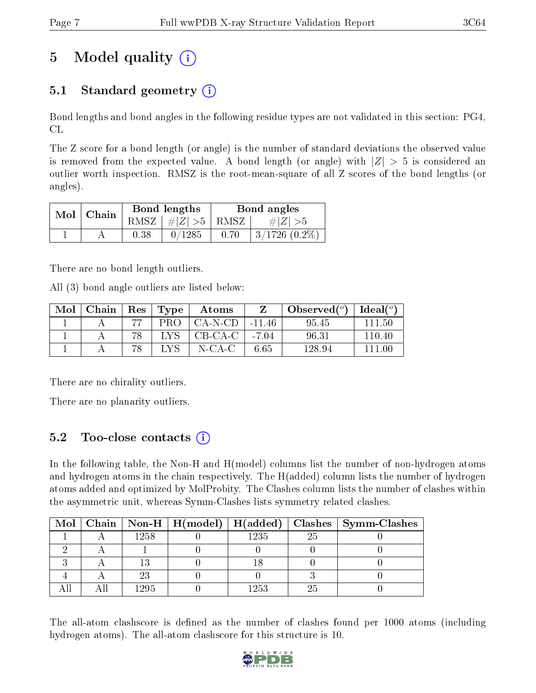# 5 Model quality  $(i)$

### 5.1 Standard geometry  $(i)$

Bond lengths and bond angles in the following residue types are not validated in this section: PG4, CL

The Z score for a bond length (or angle) is the number of standard deviations the observed value is removed from the expected value. A bond length (or angle) with  $|Z| > 5$  is considered an outlier worth inspection. RMSZ is the root-mean-square of all Z scores of the bond lengths (or angles).

| $Mol$   Chain |      | Bond lengths                     | Bond angles |                    |  |
|---------------|------|----------------------------------|-------------|--------------------|--|
|               |      | RMSZ $\mid \#  Z  > 5 \mid$ RMSZ |             | $\# Z  > 5$        |  |
|               | 0.38 | 0/1285                           | 0.70        | $3/1726$ $(0.2\%)$ |  |

There are no bond length outliers.

All (3) bond angle outliers are listed below:

| Mol | Chain | $\operatorname{Res}$ | $\mid$ Type | Atoms     |          | Observed $(°)$ | Ideal $(^\circ)$ |
|-----|-------|----------------------|-------------|-----------|----------|----------------|------------------|
|     |       |                      | PRO         | $CA-N-CD$ | $-11.46$ | 95.45          | 111 50           |
|     |       |                      | LA          | $CB-CA-C$ | $-7.04$  | 96.31          | 110.40           |
|     |       |                      |             | N-CA-C    | 6.65     | 128.94         | 111 OC           |

There are no chirality outliers.

There are no planarity outliers.

### 5.2 Too-close contacts (i)

In the following table, the Non-H and H(model) columns list the number of non-hydrogen atoms and hydrogen atoms in the chain respectively. The H(added) column lists the number of hydrogen atoms added and optimized by MolProbity. The Clashes column lists the number of clashes within the asymmetric unit, whereas Symm-Clashes lists symmetry related clashes.

|  |      |       |    | Mol   Chain   Non-H   $H(model)$   $H(added)$   Clashes   Symm-Clashes |
|--|------|-------|----|------------------------------------------------------------------------|
|  | 1258 | 1235  | 25 |                                                                        |
|  |      |       |    |                                                                        |
|  |      |       |    |                                                                        |
|  |      |       |    |                                                                        |
|  | -295 | 1 253 |    |                                                                        |

The all-atom clashscore is defined as the number of clashes found per 1000 atoms (including hydrogen atoms). The all-atom clashscore for this structure is 10.

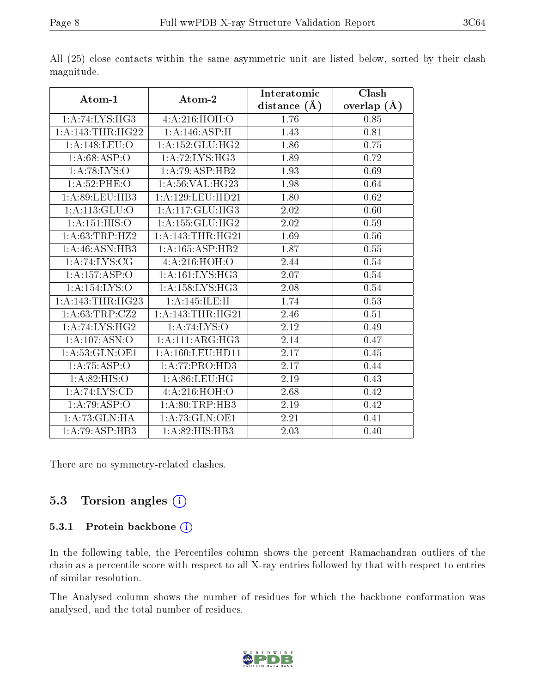|                   |                             | Interatomic      | Clash         |
|-------------------|-----------------------------|------------------|---------------|
| Atom-1            | Atom-2                      | distance $(\AA)$ | overlap $(A)$ |
| 1:A:74:LYS:HG3    | 4:A:216:HOH:0               | 1.76             | 0.85          |
| 1: A:143:THR:HG22 | 1:A:146:ASP:H               | 1.43             | 0.81          |
| 1:A:148:LEU:O     | 1:A:152:GLU:HG2             | 1.86             | 0.75          |
| 1: A:68:ASP:O     | 1: A:72: LYS: HG3           | 1.89             | 0.72          |
| 1: A:78: LYS:O    | 1:A:79:ASP:HB2              | 1.93             | 0.69          |
| 1:A:52:PHE:O      | 1: A:56: VAL:HG23           | 1.98             | 0.64          |
| 1: A:89: LEU:HB3  | 1:A:129:LEU:HD21            | 1.80             | 0.62          |
| 1: A: 113: GLU: O | 1:A:117:GLU:HG3             | 2.02             | 0.60          |
| 1: A:151: HIS:O   | 1: A: 155: GLU: HG2         | 2.02             | 0.59          |
| 1: A:63:TRP:HZ2   | 1: A:143:THR:HG21           | 1.69             | $0.56\,$      |
| 1:A:46:ASN:HB3    | 1:A:165:ASP:HB2             | 1.87             | 0.55          |
| 1:A:74:LYS:CG     | 4:A:216:HOH:O               | 2.44             | 0.54          |
| 1:A:157:ASP:O     | 1: A:161:LYS:HG3            | 2.07             | 0.54          |
| 1:A:154:LYS:O     | 1: A: 158: LYS: HG3         | 2.08             | 0.54          |
| 1:A:143:THR:HG23  | 1:A:145:ILE:H               | 1.74             | 0.53          |
| 1: A:63:TRP:CZ2   | 1: A:143:THR:HG21           | 2.46             | 0.51          |
| 1:A:74:LYS:HG2    | 1:A:74:LYS:O                | 2.12             | 0.49          |
| 1:A:107:ASN:O     | 1:A:111:ARG:HG3             | 2.14             | 0.47          |
| 1: A:53: GLN:OE1  | 1: A: 160: LEU: HD11        | 2.17             | 0.45          |
| 1: A:75:ASP:O     | 1:A:77:PRO:HD3              | 2.17             | 0.44          |
| 1: A:82: HIS:O    | 1: A:86:LEU:HG              | 2.19             | 0.43          |
| 1:A:74:LYS:CD     | 4:A:216:HOH:O               | 2.68             | 0.42          |
| 1:A:79:ASP:O      | 1: A:80:TRP:HB3             | 2.19             | 0.42          |
| 1:A:73:GLN:HA     | 1:A:73:GLN:OE1              | 2.21             | 0.41          |
| 1:A:79:ASP:HB3    | $1:A:82:HIS:H\overline{B3}$ | 2.03             | 0.40          |

All (25) close contacts within the same asymmetric unit are listed below, sorted by their clash magnitude.

There are no symmetry-related clashes.

### 5.3 Torsion angles (i)

#### 5.3.1 Protein backbone (i)

In the following table, the Percentiles column shows the percent Ramachandran outliers of the chain as a percentile score with respect to all X-ray entries followed by that with respect to entries of similar resolution.

The Analysed column shows the number of residues for which the backbone conformation was analysed, and the total number of residues.

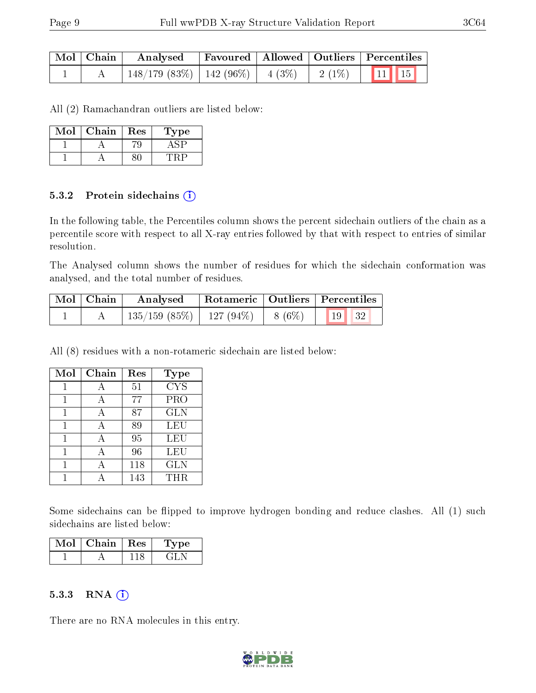| Mol   Chain | Analysed                                                                       |  | Favoured   Allowed   Outliers   Percentiles |
|-------------|--------------------------------------------------------------------------------|--|---------------------------------------------|
|             | $\mid$ 148/179 (83%) $\mid$ 142 (96%) $\mid$ 4 (3%) $\mid$ 2 (1%) $\mid$ 11 15 |  |                                             |

All (2) Ramachandran outliers are listed below:

| Mol | ${\rm Chain}$ | $\operatorname{Res}% \left( \mathcal{N}\right) \equiv\operatorname{Res}(\mathcal{N}_{0})\cap\mathcal{N}_{1}$ | L'ype |
|-----|---------------|--------------------------------------------------------------------------------------------------------------|-------|
|     |               |                                                                                                              |       |
|     |               |                                                                                                              |       |

#### 5.3.2 Protein sidechains (i)

In the following table, the Percentiles column shows the percent sidechain outliers of the chain as a percentile score with respect to all X-ray entries followed by that with respect to entries of similar resolution.

The Analysed column shows the number of residues for which the sidechain conformation was analysed, and the total number of residues.

| Mol   Chain | Analysed                                | Rotameric   Outliers   Percentiles |  |                       |  |
|-------------|-----------------------------------------|------------------------------------|--|-----------------------|--|
|             | $135/159$ (85\%)   127 (94\%)   8 (6\%) |                                    |  | $\vert$ 19 $\vert$ 32 |  |

All (8) residues with a non-rotameric sidechain are listed below:

| Mol | Chain | Res | <b>Type</b> |
|-----|-------|-----|-------------|
|     | А     | 51  | <b>CYS</b>  |
|     | А     | 77  | <b>PRO</b>  |
|     | А     | 87  | <b>GLN</b>  |
|     | А     | 89  | <b>LEU</b>  |
|     | А     | 95  | LEU         |
|     | А     | 96  | LEU         |
|     |       | 118 | <b>GLN</b>  |
|     |       | 143 | THR         |

Some sidechains can be flipped to improve hydrogen bonding and reduce clashes. All (1) such sidechains are listed below:

| Mol | Chain   Res | Type |
|-----|-------------|------|
|     |             |      |

#### $5.3.3$  RNA  $(i)$

There are no RNA molecules in this entry.

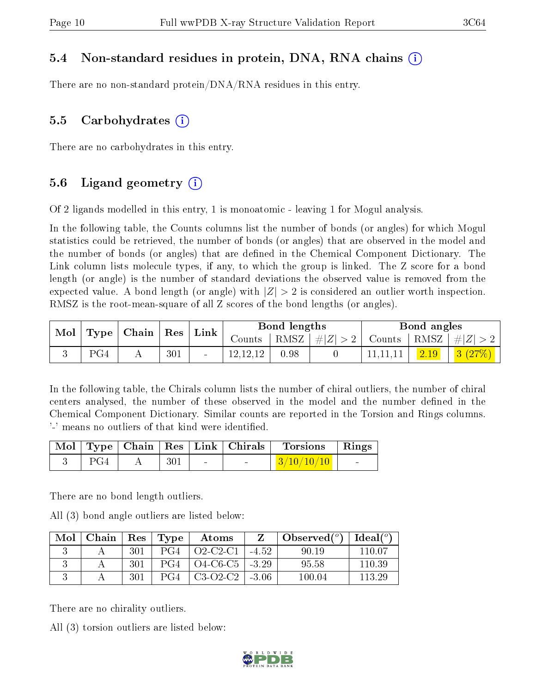### 5.4 Non-standard residues in protein, DNA, RNA chains (i)

There are no non-standard protein/DNA/RNA residues in this entry.

### 5.5 Carbohydrates (i)

There are no carbohydrates in this entry.

### 5.6 Ligand geometry (i)

Of 2 ligands modelled in this entry, 1 is monoatomic - leaving 1 for Mogul analysis.

In the following table, the Counts columns list the number of bonds (or angles) for which Mogul statistics could be retrieved, the number of bonds (or angles) that are observed in the model and the number of bonds (or angles) that are dened in the Chemical Component Dictionary. The Link column lists molecule types, if any, to which the group is linked. The Z score for a bond length (or angle) is the number of standard deviations the observed value is removed from the expected value. A bond length (or angle) with  $|Z| > 2$  is considered an outlier worth inspection. RMSZ is the root-mean-square of all Z scores of the bond lengths (or angles).

| $\bf{Mol}$ |     | $\mid$ Type $\mid$ Chain $\mid$ Res $\mid$ Link $\mid$ |     |            | Bond lengths |         |               | Bond angles |         |
|------------|-----|--------------------------------------------------------|-----|------------|--------------|---------|---------------|-------------|---------|
|            |     |                                                        |     | Counts     | † RMSZ∣      | #Z  > 2 | Counts   RMSZ |             | $\# Z $ |
|            | PG4 |                                                        | 301 | 12, 12, 12 | 0.98         |         | 11,11,11      | 2.19        | 3(27%)  |

In the following table, the Chirals column lists the number of chiral outliers, the number of chiral centers analysed, the number of these observed in the model and the number defined in the Chemical Component Dictionary. Similar counts are reported in the Torsion and Rings columns. '-' means no outliers of that kind were identified.

|     |     |        | Mol   Type   Chain   Res   Link   Chirals | Torsions Rings              |  |
|-----|-----|--------|-------------------------------------------|-----------------------------|--|
| PG4 | 301 | $\sim$ | $\sim$                                    | $\mid 3/10/10/10 \mid \mid$ |  |

There are no bond length outliers.

All (3) bond angle outliers are listed below:

| Mol | $\mid$ Chain $\mid$ Res $\mid$ Type $\mid$ |     | Atoms                          | Z | Observed $(^\circ)$   Ideal $(^\circ)$ |        |
|-----|--------------------------------------------|-----|--------------------------------|---|----------------------------------------|--------|
|     |                                            | 301 | $PG4 \mid O2-C2-C1 \mid -4.52$ |   | 90.19                                  | 110 07 |
|     |                                            | 301 | $PG4 \mid O4-C6-C5 \mid -3.29$ |   | 95.58                                  | 110.39 |
|     |                                            | 301 | $PG4 \mid C3-O2-C2 \mid -3.06$ |   | 100.04                                 | 113.29 |

There are no chirality outliers.

All (3) torsion outliers are listed below:

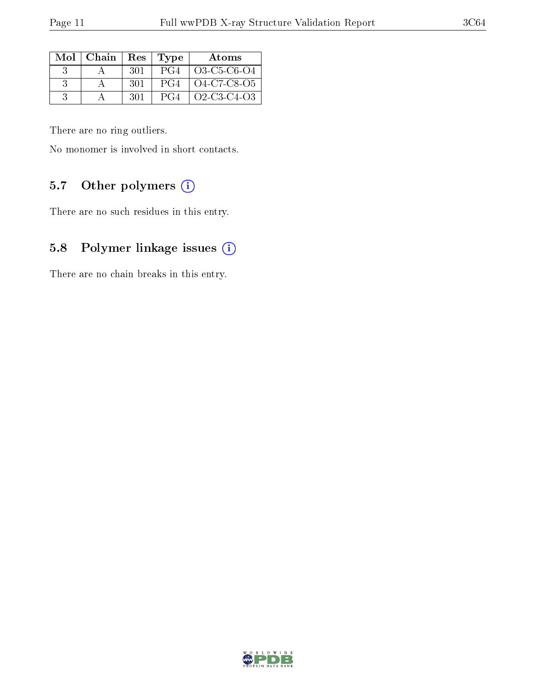| Mol   Chain |      | Res   Type | Atoms       |
|-------------|------|------------|-------------|
|             | -301 | PG4        | O3-C5-C6-O4 |
|             | -301 | PG4        | 04-C7-C8-O5 |
|             | -301 | PG4        | Q2-C3-C4-Q3 |

There are no ring outliers.

No monomer is involved in short contacts.

### 5.7 [O](https://www.wwpdb.org/validation/2017/XrayValidationReportHelp#nonstandard_residues_and_ligands)ther polymers (i)

There are no such residues in this entry.

### 5.8 Polymer linkage issues (i)

There are no chain breaks in this entry.

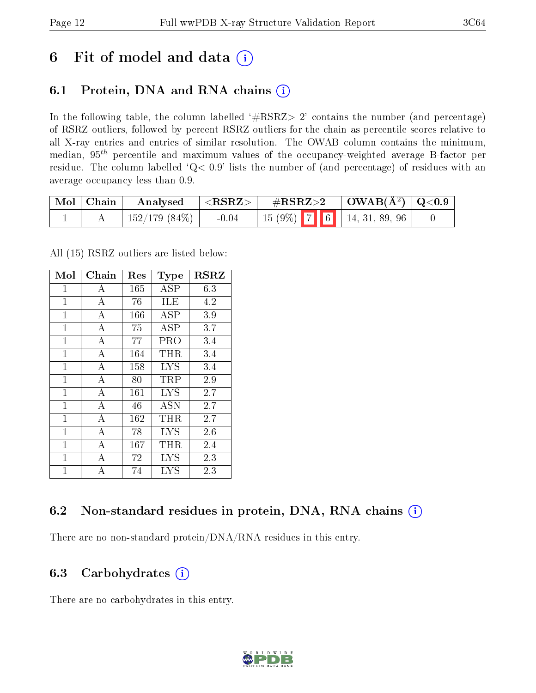## 6 Fit of model and data  $(i)$

## 6.1 Protein, DNA and RNA chains  $(i)$

In the following table, the column labelled  $#RSRZ> 2'$  contains the number (and percentage) of RSRZ outliers, followed by percent RSRZ outliers for the chain as percentile scores relative to all X-ray entries and entries of similar resolution. The OWAB column contains the minimum, median,  $95<sup>th</sup>$  percentile and maximum values of the occupancy-weighted average B-factor per residue. The column labelled ' $Q< 0.9$ ' lists the number of (and percentage) of residues with an average occupancy less than 0.9.

| $\mid$ Mol $\mid$ Chain | Analysed           | $^{\prime}$ <rsrz> <math>_{\rm +}</math></rsrz> | $\rm \#RSRZ{>}2$ |  | $\vert$ OWAB( $\rm \AA^2)$ $\vert$ Q<0.9 |                                                                                                |  |
|-------------------------|--------------------|-------------------------------------------------|------------------|--|------------------------------------------|------------------------------------------------------------------------------------------------|--|
|                         | $^+$ 152/179 (84%) | $-0.04$                                         |                  |  |                                          | $\begin{array}{ c c c c c c c c } \hline 15 & 9\% & 7 & 6 & 14, 31, 89, 96 \hline \end{array}$ |  |

All (15) RSRZ outliers are listed below:

| Mol            | Chain            | Res | <b>Type</b> | <b>RSRZ</b> |
|----------------|------------------|-----|-------------|-------------|
| 1              | А                | 165 | <b>ASP</b>  | 6.3         |
| $\overline{1}$ | $\boldsymbol{A}$ | 76  | ILE         | 4.2         |
| $\mathbf{1}$   | А                | 166 | ASP         | 3.9         |
| 1              | А                | 75  | ASP         | 3.7         |
| $\mathbf{1}$   | A                | 77  | PRO         | 3.4         |
| $\mathbf{1}$   | А                | 164 | THR         | $3.4\,$     |
| $\mathbf{1}$   | А                | 158 | <b>LYS</b>  | 3.4         |
| $\overline{1}$ | $\bf{A}$         | 80  | TRP         | 2.9         |
| $\mathbf{1}$   | $\overline{A}$   | 161 | <b>LYS</b>  | 2.7         |
| $\overline{1}$ | А                | 46  | <b>ASN</b>  | 2.7         |
| $\overline{1}$ | $\bf{A}$         | 162 | THR         | 2.7         |
| $\overline{1}$ | $\overline{A}$   | 78  | LYS         | 2.6         |
| $\overline{1}$ | А                | 167 | THR         | 2.4         |
| 1              | $\overline{A}$   | 72  | <b>LYS</b>  | 2.3         |
| $\overline{1}$ | А                | 74  | <b>LYS</b>  | 2.3         |

### 6.2 Non-standard residues in protein, DNA, RNA chains (i)

There are no non-standard protein/DNA/RNA residues in this entry.

### 6.3 Carbohydrates  $(i)$

There are no carbohydrates in this entry.